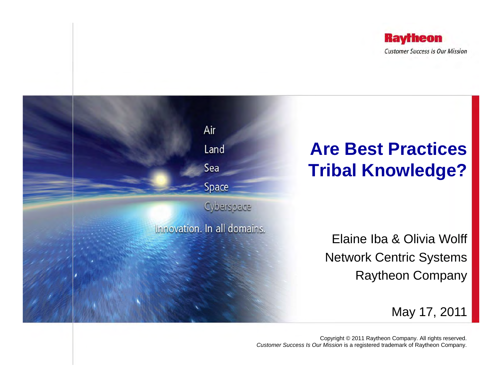



Copyright © 2011 Raytheon Company. All rights reserved. *Customer Success Is Our Mission* is a registered trademark of Raytheon Company.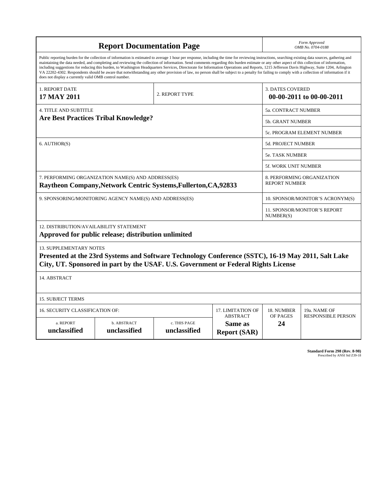| <b>Report Documentation Page</b>                                                                                                                                                                                                                                                                                                                                                                                                                                                                                                                                                                                                                                                                                                                                                                                                                                   |                             |                              |                                                   |                                                     | Form Approved<br>OMB No. 0704-0188                 |  |  |  |
|--------------------------------------------------------------------------------------------------------------------------------------------------------------------------------------------------------------------------------------------------------------------------------------------------------------------------------------------------------------------------------------------------------------------------------------------------------------------------------------------------------------------------------------------------------------------------------------------------------------------------------------------------------------------------------------------------------------------------------------------------------------------------------------------------------------------------------------------------------------------|-----------------------------|------------------------------|---------------------------------------------------|-----------------------------------------------------|----------------------------------------------------|--|--|--|
| Public reporting burden for the collection of information is estimated to average 1 hour per response, including the time for reviewing instructions, searching existing data sources, gathering and<br>maintaining the data needed, and completing and reviewing the collection of information. Send comments regarding this burden estimate or any other aspect of this collection of information,<br>including suggestions for reducing this burden, to Washington Headquarters Services, Directorate for Information Operations and Reports, 1215 Jefferson Davis Highway, Suite 1204, Arlington<br>VA 22202-4302. Respondents should be aware that notwithstanding any other provision of law, no person shall be subject to a penalty for failing to comply with a collection of information if it<br>does not display a currently valid OMB control number. |                             |                              |                                                   |                                                     |                                                    |  |  |  |
| 1. REPORT DATE<br>17 MAY 2011                                                                                                                                                                                                                                                                                                                                                                                                                                                                                                                                                                                                                                                                                                                                                                                                                                      | 2. REPORT TYPE              |                              |                                                   | <b>3. DATES COVERED</b><br>00-00-2011 to 00-00-2011 |                                                    |  |  |  |
| <b>4. TITLE AND SUBTITLE</b>                                                                                                                                                                                                                                                                                                                                                                                                                                                                                                                                                                                                                                                                                                                                                                                                                                       |                             |                              |                                                   |                                                     | <b>5a. CONTRACT NUMBER</b>                         |  |  |  |
| <b>Are Best Practices Tribal Knowledge?</b>                                                                                                                                                                                                                                                                                                                                                                                                                                                                                                                                                                                                                                                                                                                                                                                                                        |                             |                              |                                                   |                                                     | 5b. GRANT NUMBER                                   |  |  |  |
|                                                                                                                                                                                                                                                                                                                                                                                                                                                                                                                                                                                                                                                                                                                                                                                                                                                                    |                             |                              |                                                   |                                                     | 5c. PROGRAM ELEMENT NUMBER                         |  |  |  |
| 6. AUTHOR(S)                                                                                                                                                                                                                                                                                                                                                                                                                                                                                                                                                                                                                                                                                                                                                                                                                                                       |                             |                              |                                                   |                                                     | 5d. PROJECT NUMBER                                 |  |  |  |
|                                                                                                                                                                                                                                                                                                                                                                                                                                                                                                                                                                                                                                                                                                                                                                                                                                                                    |                             |                              |                                                   |                                                     | <b>5e. TASK NUMBER</b>                             |  |  |  |
|                                                                                                                                                                                                                                                                                                                                                                                                                                                                                                                                                                                                                                                                                                                                                                                                                                                                    |                             |                              |                                                   |                                                     | 5f. WORK UNIT NUMBER                               |  |  |  |
| 7. PERFORMING ORGANIZATION NAME(S) AND ADDRESS(ES)<br>Raytheon Company, Network Centric Systems, Fullerton, CA, 92833                                                                                                                                                                                                                                                                                                                                                                                                                                                                                                                                                                                                                                                                                                                                              |                             |                              |                                                   |                                                     | 8. PERFORMING ORGANIZATION<br><b>REPORT NUMBER</b> |  |  |  |
| 9. SPONSORING/MONITORING AGENCY NAME(S) AND ADDRESS(ES)                                                                                                                                                                                                                                                                                                                                                                                                                                                                                                                                                                                                                                                                                                                                                                                                            |                             |                              |                                                   |                                                     | 10. SPONSOR/MONITOR'S ACRONYM(S)                   |  |  |  |
|                                                                                                                                                                                                                                                                                                                                                                                                                                                                                                                                                                                                                                                                                                                                                                                                                                                                    |                             |                              |                                                   |                                                     | <b>11. SPONSOR/MONITOR'S REPORT</b><br>NUMBER(S)   |  |  |  |
| 12. DISTRIBUTION/AVAILABILITY STATEMENT                                                                                                                                                                                                                                                                                                                                                                                                                                                                                                                                                                                                                                                                                                                                                                                                                            |                             |                              |                                                   |                                                     |                                                    |  |  |  |
| Approved for public release; distribution unlimited                                                                                                                                                                                                                                                                                                                                                                                                                                                                                                                                                                                                                                                                                                                                                                                                                |                             |                              |                                                   |                                                     |                                                    |  |  |  |
| <b>13. SUPPLEMENTARY NOTES</b><br>Presented at the 23rd Systems and Software Technology Conference (SSTC), 16-19 May 2011, Salt Lake<br>City, UT. Sponsored in part by the USAF. U.S. Government or Federal Rights License                                                                                                                                                                                                                                                                                                                                                                                                                                                                                                                                                                                                                                         |                             |                              |                                                   |                                                     |                                                    |  |  |  |
| 14. ABSTRACT                                                                                                                                                                                                                                                                                                                                                                                                                                                                                                                                                                                                                                                                                                                                                                                                                                                       |                             |                              |                                                   |                                                     |                                                    |  |  |  |
| <b>15. SUBJECT TERMS</b>                                                                                                                                                                                                                                                                                                                                                                                                                                                                                                                                                                                                                                                                                                                                                                                                                                           |                             |                              |                                                   |                                                     |                                                    |  |  |  |
| 16. SECURITY CLASSIFICATION OF:                                                                                                                                                                                                                                                                                                                                                                                                                                                                                                                                                                                                                                                                                                                                                                                                                                    |                             | 17. LIMITATION OF            | 18. NUMBER                                        | 19a. NAME OF                                        |                                                    |  |  |  |
| a. REPORT<br>unclassified                                                                                                                                                                                                                                                                                                                                                                                                                                                                                                                                                                                                                                                                                                                                                                                                                                          | b. ABSTRACT<br>unclassified | c. THIS PAGE<br>unclassified | <b>ABSTRACT</b><br>Same as<br><b>Report (SAR)</b> | OF PAGES<br>24                                      | <b>RESPONSIBLE PERSON</b>                          |  |  |  |

**Standard Form 298 (Rev. 8-98)**<br>Prescribed by ANSI Std Z39-18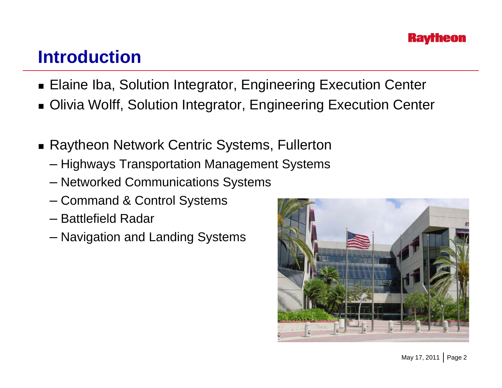### **Introduction**

- Elaine Iba, Solution Integrator, Engineering Execution Center
- Olivia Wolff, Solution Integrator, Engineering Execution Center
- Raytheon Network Centric Systems, Fullerton
	- Highways Transportation Management Systems
	- Networked Communications Systems
	- Command & Control Systems
	- Battlefield Radar
	- Navigation and Landing Systems

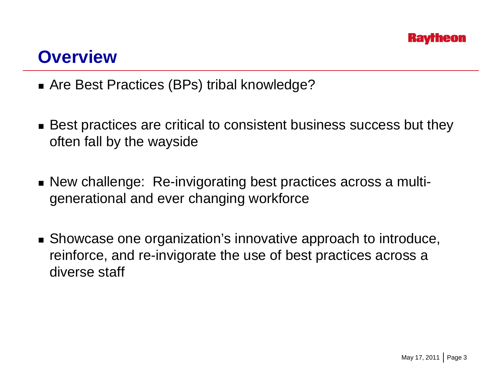#### **Overview**

- Are Best Practices (BPs) tribal knowledge?
- $\blacksquare$  Best practices are critical to consistent business success but they often fall by the wayside
- New challenge: Re-invigorating best practices across a multigenerational and ever changing workforce
- Showcase one organization's innovative approach to introduce, reinforce, and re-invigorate the use of best practices across a diverse staff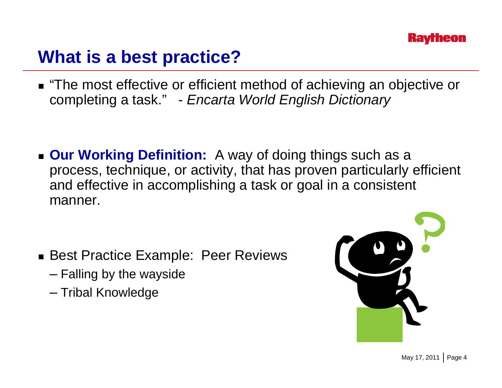## **What is a best practice?**

■ "The most effective or efficient method of achieving an objective or completing a task." *- Encarta World English Dictionary*

 **Our Working Definition:** A way of doing things such as a process, technique, or activity, that has proven particularly efficient and effective in accomplishing a task or goal in a consistent manner.

- Best Practice Example: Peer Reviews
	- Falling by the wayside
	- Tribal Knowledge

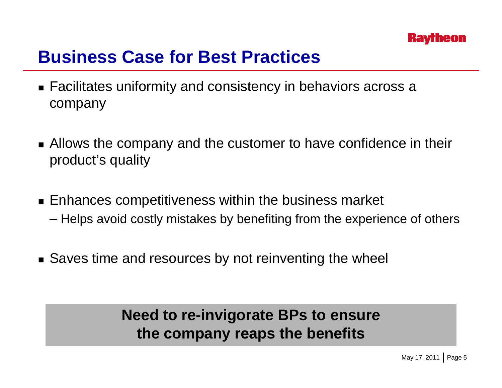## **Business Case for Best Practices**

- Facilitates uniformity and consistency in behaviors across a company
- **Allows the company and the customer to have confidence in their** product's quality
- Enhances competitiveness within the business market – Helps avoid costly mistakes by benefiting from the experience of others  $\,$
- Saves time and resources by not reinventing the wheel

#### **Need to re -invigorate BPs to ensure the company reaps the benefits**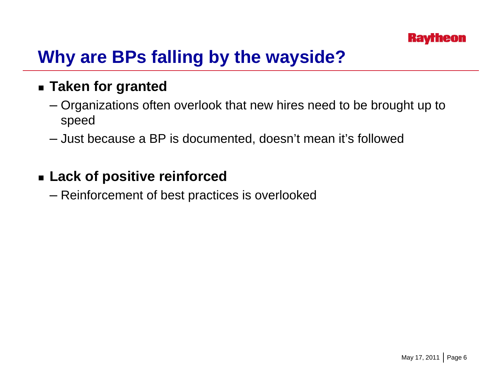# **Why are BPs falling by the wayside?**

#### **Taken for granted**

- Organizations often overlook that new hires need to be brought up to speed
- Just because a BP is documented, doesn't mean it's followed

#### **Lack of positive reinforced**

– Reinforcement of best practices is overlooked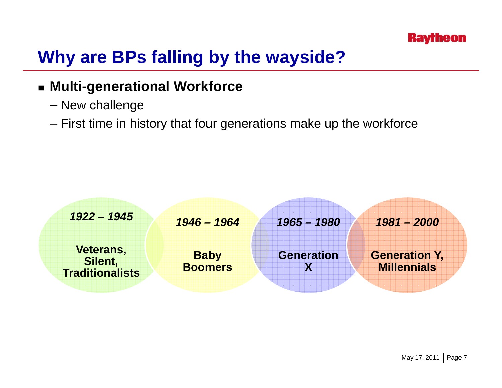

# **Why are BPs falling by the wayside?**

#### **Multi-generational Workforce**

- New challenge
- $-$  First time in history that four generations make up the workforce

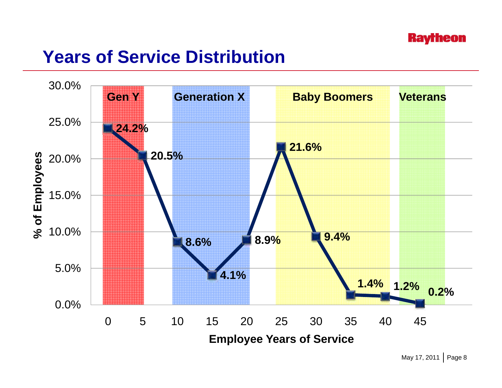### **Years of Service Distribution**

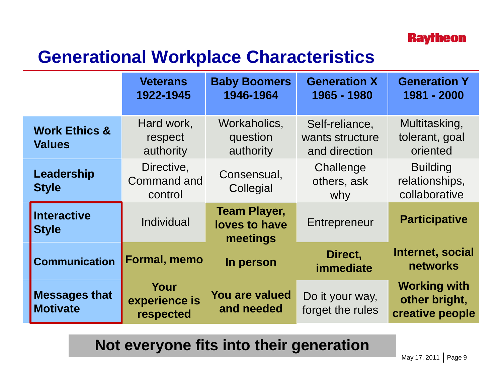

## **Generational Workplace Characteristics**

|                                           | <b>Veterans</b><br>1922-1945                | <b>Baby Boomers</b><br>1946-1964                 | <b>Generation X</b><br>1965 - 1980                 | <b>Generation Y</b><br>1981 - 2000                      |
|-------------------------------------------|---------------------------------------------|--------------------------------------------------|----------------------------------------------------|---------------------------------------------------------|
| <b>Work Ethics &amp;</b><br><b>Values</b> | Hard work,<br>respect<br>authority          | Workaholics,<br>question<br>authority            | Self-reliance,<br>wants structure<br>and direction | Multitasking,<br>tolerant, goal<br>oriented             |
| Leadership<br><b>Style</b>                | Directive,<br><b>Command and</b><br>control | Consensual,<br>Collegial                         | Challenge<br>others, ask<br>why                    | <b>Building</b><br>relationships,<br>collaborative      |
| <b>Interactive</b><br><b>Style</b>        | Individual                                  | <b>Team Player,</b><br>loves to have<br>meetings | Entrepreneur                                       | <b>Participative</b>                                    |
| <b>Communication</b>                      | Formal, memo                                | In person                                        | Direct,<br><b>immediate</b>                        | Internet, social<br><b>networks</b>                     |
| <b>Messages that</b><br><b>Motivate</b>   | Your<br>experience is<br>respected          | You are valued<br>and needed                     | Do it your way,<br>forget the rules                | <b>Working with</b><br>other bright,<br>creative people |

**Not everyone fits into their generation**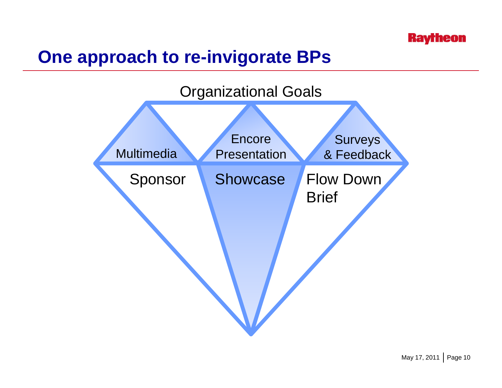## **One approach to re-invigorate BPs**



May 17, 2011 | Page 10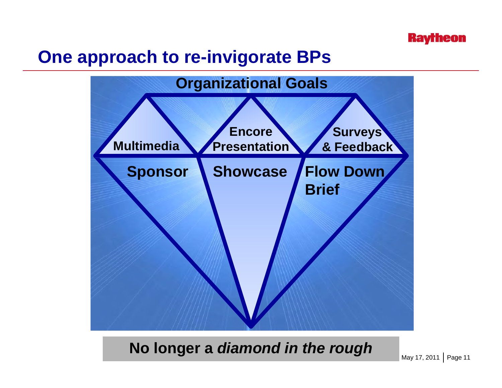#### **Raytheon**

### **One approach to re-invigorate BPs**



No longer a *diamond in the rough* May 17, 2011 | Page 11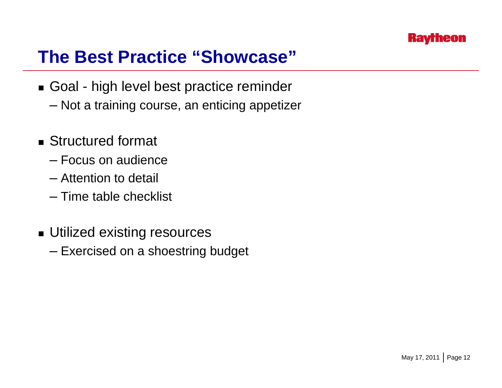

### **The Best Practice "Showcase"**

- Goal high level best practice reminder
	- Not a training course, an enticing appetizer
- Structured format
	- Focus on audience
	- Attention to detail
	- Time table checklist
- Utilized existing resources
	- Exercised on a shoestring budget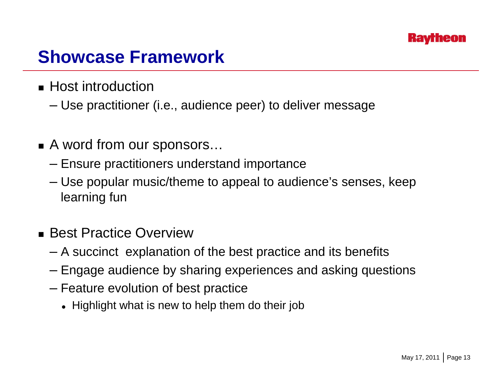## **Showcase Framework**

- $\blacksquare$  Host introduction
	- Use practitioner (i.e., audience peer) to deliver message
- A word from our sponsors…
	- Ensure practitioners understand importance
	- Use popular music/theme to appeal to audience's senses, keep learning fun
- Best Practice Overview
	- A succinct explanation of the best practice and its benefits
	- Engage audience by sharing experiences and asking questions
	- Feature evolution of best practice
		- Highlight what is new to help them do their job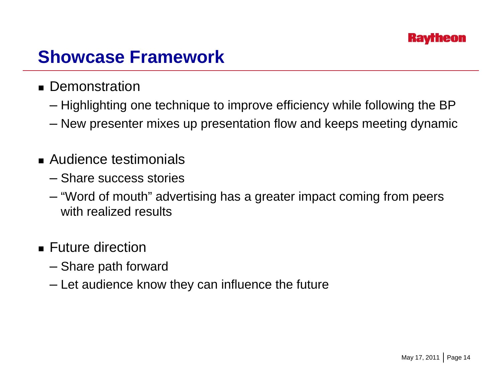## **Showcase Framework**

- Demonstration
	- Highlighting one technique to improve efficiency while following the BP
	- New presenter mixes up presentation flow and keeps meeting dynamic
- Audience testimonials
	- Share success stories
	- "Word of mouth" advertising has a greater impact coming from peers with realized results
- Future direction
	- Share path forward
	- Let audience know they can influence the future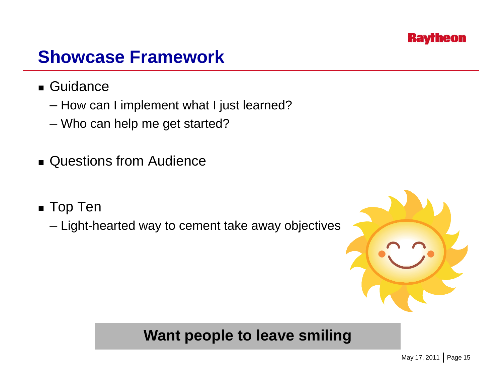

### **Showcase Framework**

- Guidance
	- How can I implement what I just learned?
	- Who can help me get started?
- Questions from Audience
- Top Ten
	- Light-hearted way to cement take away objectives



May 17, 2011 Page 15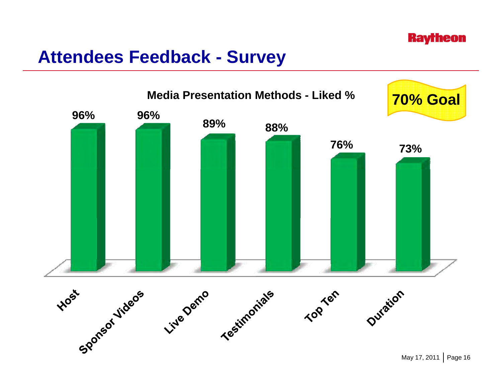#### **Raytheon**

#### **Attendees Feedback - Survey**



May 17, 2011 | Page 16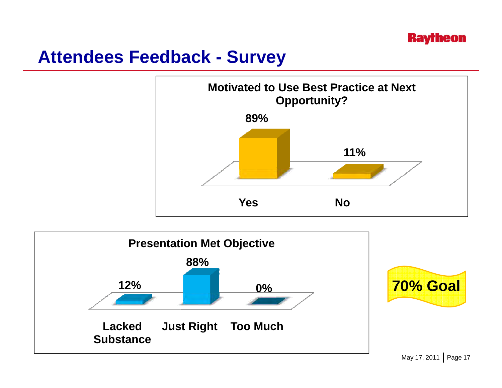## **Attendees Feedback - Survey**



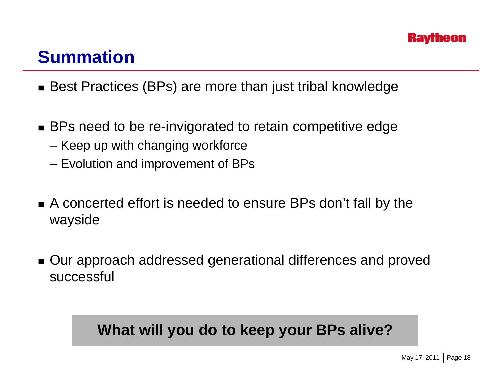## **Summation**

- Best Practices (BPs) are more than just tribal knowledge
- BPs need to be re-invigorated to retain competitive edge
	- Keep up with changing workforce
	- Evolution and improvement of BPs
- A concerted effort is needed to ensure BPs don't fall by the wayside
- Our approach addressed generational differences and proved successful

#### **What will you do to keep your BPs alive?**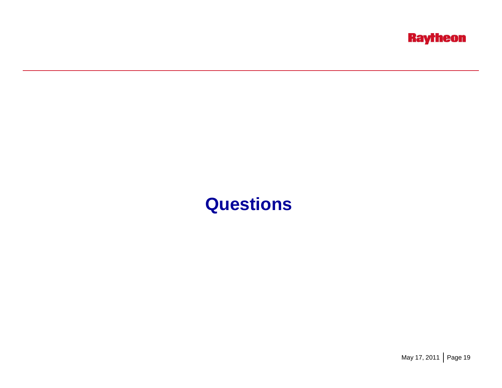

### **Questions**

May 17, 2011 | Page 19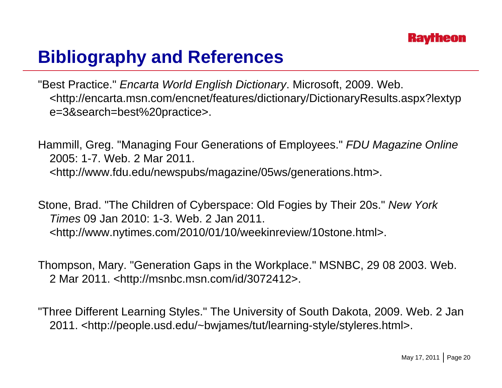# **Bibliography and References**

"Best Practice." *Encarta World English Dictionary*. Microsoft, 2009. Web. <http://encarta.msn.com/encnet/features/dictionary/DictionaryResults.aspx?lextyp e=3&search=best%20practice>.

Hammill, Greg. "Managing Four Generations of Employees." *FDU Magazine Online* 2005: 1-7. Web. 2 Mar 2011. <http://www.fdu.edu/newspubs/magazine/05ws/generations.htm>.

Stone, Brad. "The Children of Cyberspace: Old Fogies by Their 20s." *New York Times* 09 Jan 2010: 1 1-3 Web 2 Jan 2011 3. Web. 2011. <http://www.nytimes.com/2010/01/10/weekinreview/10stone.html>.

Thompson, Mary. "Generation Gaps in the Workplace." MSNBC, 29 08 2003. Web. 2 Mar 2011. <http://msnbc.msn.com/id/3072412>.

"Three Different Learning Styles." The University of South Dakota, 2009. Web. 2 Jan 2011. <http://people.usd.edu/~bwjames/tut/learning-style/styleres.html>.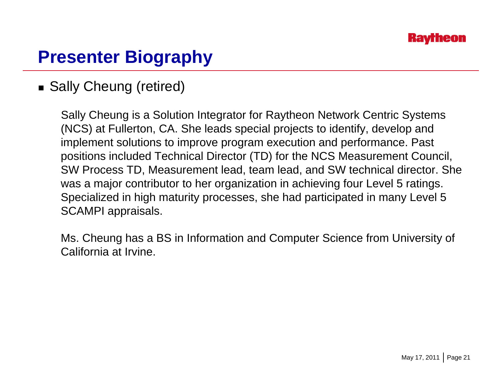# **Presenter Biography**

#### ■ Sally Cheung (retired)

Sally Cheung is a Solution Integrator for Raytheon Network Centric Systems (NCS) at Fullerton, CA. She leads special projects to identify, develop and implement solutions to improve program execution and performance. Past positions included Technical Director (TD) for the NCS Measurement Council, SW Process TD, Measurement lead, team lead, and SW technical director. She was a major contributor to her organization in achieving four Level 5 ratings. Specialized in high maturity processes, she had participated in many Level 5 SCAMPI appraisals.

Ms. Cheung has a BS in Information and Computer Science from University of California at Irvine.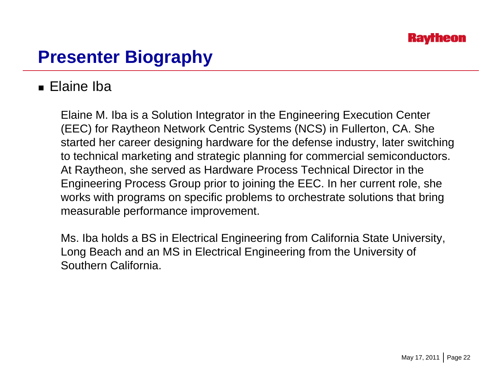# **Presenter Biography**

#### ■ Elaine Iba

Elaine M. Iba is a Solution Integrator in the Engineering Execution Center (EEC) for Raytheon Network Centric Systems (NCS) in Fullerton, CA. She started her career designing hardware for the defense industry, later switching to technical marketing and strategic planning for commercial semiconductors. At Raytheon, she served as Hardware Process Technical Director in the Engineering Process Group prior to joining the EEC. In her current role, she works with programs on specific problems to orchestrate solutions that bring measurable performance improvement.

Ms. Iba holds a BS in Electrical Engineering from California State University, Long Beach and an MS in Electrical Engineering from the University of Southern California.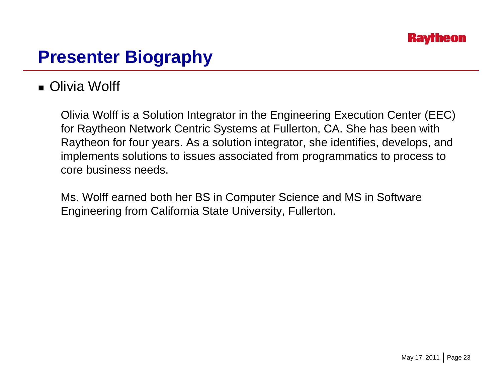

#### **Presenter Biography**

#### ■ Olivia Wolff

Olivia Wolff is a Solution Integrator in the Engineering Execution Center (EEC) for Raytheon Network Centric Systems at Fullerton, CA. She has been with Raytheon for four years. As a solution integrator, she identifies, develops, and implements solutions to issues associated from programmatics to process to core business needs.

Ms. Wolff earned both her BS in Computer Science and MS in Software Engineering from California State University, Fullerton.